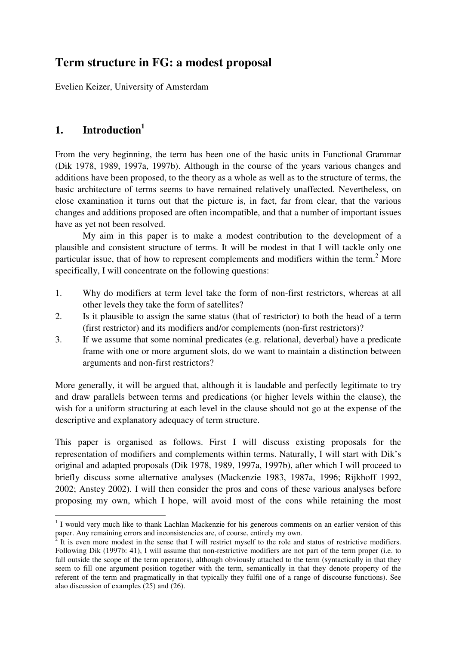# **Term structure in FG: a modest proposal**

Evelien Keizer, University of Amsterdam

# **1. Introduction 1**

From the very beginning, the term has been one of the basic units in Functional Grammar (Dik 1978, 1989, 1997a, 1997b). Although in the course of the years various changes and additions have been proposed, to the theory as a whole as well as to the structure of terms, the basic architecture of terms seems to have remained relatively unaffected. Nevertheless, on close examination it turns out that the picture is, in fact, far from clear, that the various changes and additions proposed are often incompatible, and that a number of important issues have as yet not been resolved.

My aim in this paper is to make a modest contribution to the development of a plausible and consistent structure of terms. It will be modest in that I will tackle only one particular issue, that of how to represent complements and modifiers within the term.<sup>2</sup> More specifically, I will concentrate on the following questions:

- 1. Why do modifiers at term level take the form of non-first restrictors, whereas at all other levels they take the form of satellites?
- 2. Is it plausible to assign the same status (that of restrictor) to both the head of a term (first restrictor) and its modifiers and/or complements (non-first restrictors)?
- 3. If we assume that some nominal predicates (e.g. relational, deverbal) have a predicate frame with one or more argument slots, do we want to maintain a distinction between arguments and non-first restrictors?

More generally, it will be argued that, although it is laudable and perfectly legitimate to try and draw parallels between terms and predications (or higher levels within the clause), the wish for a uniform structuring at each level in the clause should not go at the expense of the descriptive and explanatory adequacy of term structure.

This paper is organised as follows. First I will discuss existing proposals for the representation of modifiers and complements within terms. Naturally, I will start with Dik's original and adapted proposals (Dik 1978, 1989, 1997a, 1997b), after which I will proceed to briefly discuss some alternative analyses (Mackenzie 1983, 1987a, 1996; Rijkhoff 1992, 2002; Anstey 2002). I will then consider the pros and cons of these various analyses before proposing my own, which I hope, will avoid most of the cons while retaining the most

<sup>&</sup>lt;sup>1</sup> I would very much like to thank Lachlan Mackenzie for his generous comments on an earlier version of this paper. Any remaining errors and inconsistencies are, of course, entirely my own.

 $\bar{2}$ It is even more modest in the sense that I will restrict myself to the role and status of restrictive modifiers. Following Dik (1997b: 41), I will assume that non-restrictive modifiers are not part of the term proper (i.e. to fall outside the scope of the term operators), although obviously attached to the term (syntactically in that they seem to fill one argument position together with the term, semantically in that they denote property of the referent of the term and pragmatically in that typically they fulfil one of a range of discourse functions). See alao discussion of examples (25) and (26).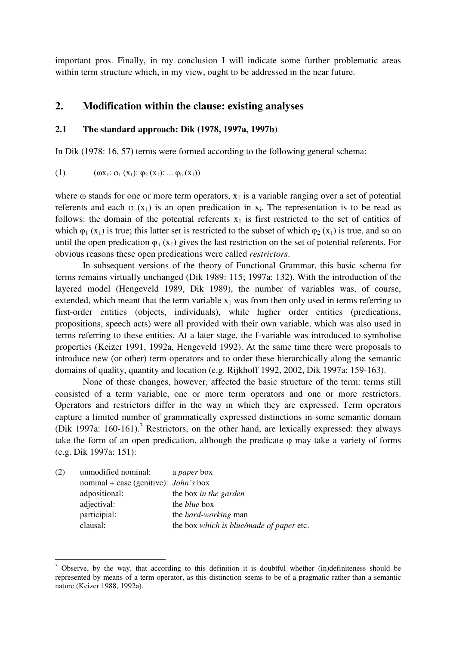important pros. Finally, in my conclusion I will indicate some further problematic areas within term structure which, in my view, ought to be addressed in the near future.

# **2. Modification within the clause: existing analyses**

#### **2.1 The standard approach: Dik (1978, 1997a, 1997b)**

In Dik (1978: 16, 57) terms were formed according to the following general schema:

(1)  $(\omega x_1: \varphi_1(x_1): \varphi_2(x_1): ... \varphi_n(x_1))$ 

where  $\omega$  stands for one or more term operators,  $x_1$  is a variable ranging over a set of potential referents and each  $\varphi$  (x<sub>1</sub>) is an open predication in x<sub>i</sub>. The representation is to be read as follows: the domain of the potential referents  $x_1$  is first restricted to the set of entities of which  $\varphi_1(x_1)$  is true; this latter set is restricted to the subset of which  $\varphi_2(x_1)$  is true, and so on until the open predication  $\varphi_n(x_1)$  gives the last restriction on the set of potential referents. For obvious reasons these open predications were called *restrictors*.

In subsequent versions of the theory of Functional Grammar, this basic schema for terms remains virtually unchanged (Dik 1989: 115; 1997a: 132). With the introduction of the layered model (Hengeveld 1989, Dik 1989), the number of variables was, of course, extended, which meant that the term variable  $x_1$  was from then only used in terms referring to first-order entities (objects, individuals), while higher order entities (predications, propositions, speech acts) were all provided with their own variable, which was also used in terms referring to these entities. At a later stage, the f-variable was introduced to symbolise properties (Keizer 1991, 1992a, Hengeveld 1992). At the same time there were proposals to introduce new (or other) term operators and to order these hierarchically along the semantic domains of quality, quantity and location (e.g. Rijkhoff 1992, 2002, Dik 1997a: 159-163).

None of these changes, however, affected the basic structure of the term: terms still consisted of a term variable, one or more term operators and one or more restrictors. Operators and restrictors differ in the way in which they are expressed. Term operators capture a limited number of grammatically expressed distinctions in some semantic domain (Dik 1997a: 160-161).<sup>3</sup> Restrictors, on the other hand, are lexically expressed: they always take the form of an open predication, although the predicate  $\varphi$  may take a variety of forms (e.g. Dik 1997a: 151):

| (2) | unmodified nominal:                     | a <i>paper</i> box                       |
|-----|-----------------------------------------|------------------------------------------|
|     | nominal + case (genitive): $John's$ box |                                          |
|     | adpositional:                           | the box in the garden                    |
|     | adjectival:                             | the <i>blue</i> box                      |
|     | participial:                            | the <i>hard-working</i> man              |
|     | clausal:                                | the box which is blue/made of paper etc. |

 $3$  Observe, by the way, that according to this definition it is doubtful whether (in)definiteness should be represented by means of a term operator, as this distinction seems to be of a pragmatic rather than a semantic nature (Keizer 1988, 1992a).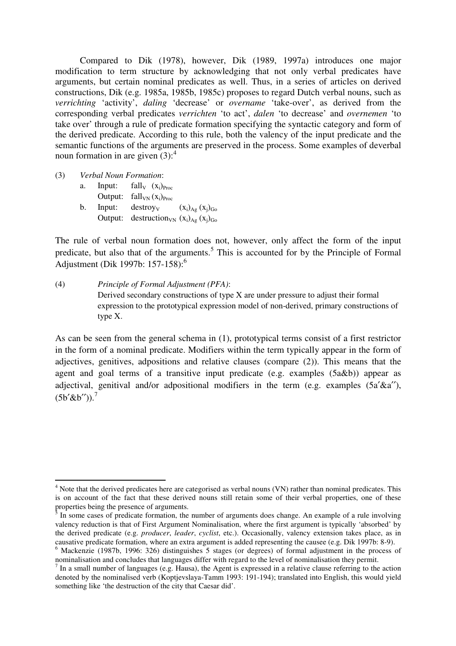Compared to Dik (1978), however, Dik (1989, 1997a) introduces one major modification to term structure by acknowledging that not only verbal predicates have arguments, but certain nominal predicates as well. Thus, in a series of articles on derived constructions, Dik (e.g. 1985a, 1985b, 1985c) proposes to regard Dutch verbal nouns, such as *verrichting* 'activity', *daling* 'decrease' or *overname* 'take-over', as derived from the corresponding verbal predicates *verrichten* 'to act', *dalen* 'to decrease' and *overnemen* 'to take over' through a rule of predicate formation specifying the syntactic category and form of the derived predicate. According to this rule, both the valency of the input predicate and the semantic functions of the arguments are preserved in the process. Some examples of deverbal noun formation in are given  $(3)$ :<sup>4</sup>

(3) *Verbal Noun Formation*:

a. Input:  $fall_{V}$  ( $x_i$ ) $p_{\text{roc}}$ Output:  $fall_{VN} (x_i)_{Proc}$ b. Input: destroy<sub>v</sub>  $(x_i)_{A_g}(x_i)_{Go}$ Output: destruction<sub>VN</sub>  $(x_i)_{Ag} (x_j)_{Go}$ 

The rule of verbal noun formation does not, however, only affect the form of the input predicate, but also that of the arguments.<sup>5</sup> This is accounted for by the Principle of Formal Adjustment (Dik 1997b: 157-158):<sup>6</sup>

(4) *Principle of Formal Adjustment (PFA)*: Derived secondary constructions of type X are under pressure to adjust their formal expression to the prototypical expression model of non-derived, primary constructions of type X.

As can be seen from the general schema in (1), prototypical terms consist of a first restrictor in the form of a nominal predicate. Modifiers within the term typically appear in the form of adjectives, genitives, adpositions and relative clauses (compare (2)). This means that the agent and goal terms of a transitive input predicate (e.g. examples (5a&b)) appear as adjectival, genitival and/or adpositional modifiers in the term (e.g. examples  $(5a' \& a'')$ ),  $(5b'$ &b'')).<sup>7</sup>

<sup>&</sup>lt;sup>4</sup> Note that the derived predicates here are categorised as verbal nouns (VN) rather than nominal predicates. This is on account of the fact that these derived nouns still retain some of their verbal properties, one of these properties being the presence of arguments.

 $3 \text{ In}$  some cases of predicate formation, the number of arguments does change. An example of a rule involving valency reduction is that of First Argument Nominalisation, where the first argument is typically 'absorbed' by the derived predicate (e.g. *producer*, *leader*, *cyclist*, etc.). Occasionally, valency extension takes place, as in causative predicate formation, where an extra argument is added representing the causee (e.g. Dik 1997b: 8-9).

<sup>&</sup>lt;sup>6</sup> Mackenzie (1987b, 1996: 326) distinguishes 5 stages (or degrees) of formal adjustment in the process of nominalisation and concludes that languages differ with regard to the level of nominalisation they permit.

 $<sup>7</sup>$  In a small number of languages (e.g. Hausa), the Agent is expressed in a relative clause referring to the action</sup> denoted by the nominalised verb (Koptjevslaya-Tamm 1993: 191-194); translated into English, this would yield something like 'the destruction of the city that Caesar did'.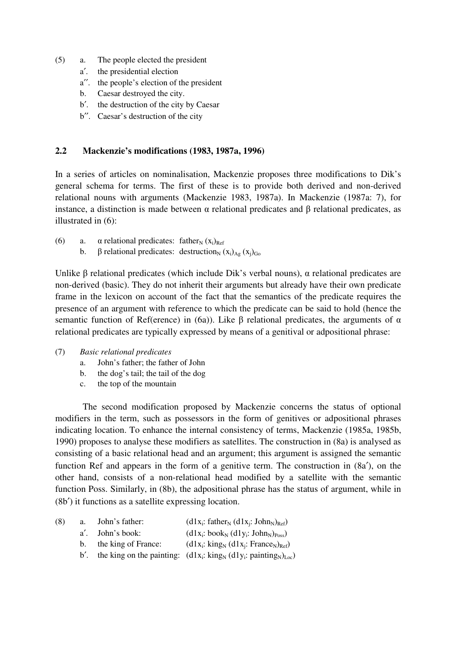- (5) a. The people elected the president
	- a′. the presidential election
	- a′′. the people's election of the president
	- b. Caesar destroyed the city.
	- b′. the destruction of the city by Caesar
	- b′′. Caesar's destruction of the city

## **2.2 Mackenzie's modifications (1983, 1987a, 1996)**

In a series of articles on nominalisation, Mackenzie proposes three modifications to Dik's general schema for terms. The first of these is to provide both derived and non-derived relational nouns with arguments (Mackenzie 1983, 1987a). In Mackenzie (1987a: 7), for instance, a distinction is made between  $\alpha$  relational predicates and  $\beta$  relational predicates, as illustrated in (6):

- (6) a.  $\alpha$  relational predicates: father<sub>N</sub> (x<sub>i</sub>)<sub>Ref</sub>
	- b.  $\beta$  relational predicates: destruction<sub>N</sub> (x<sub>i</sub>)<sub>Ag</sub> (x<sub>i</sub>)<sub>Go</sub>

Unlike  $\beta$  relational predicates (which include Dik's verbal nouns),  $\alpha$  relational predicates are non-derived (basic). They do not inherit their arguments but already have their own predicate frame in the lexicon on account of the fact that the semantics of the predicate requires the presence of an argument with reference to which the predicate can be said to hold (hence the semantic function of Ref(erence) in (6a)). Like  $\beta$  relational predicates, the arguments of  $\alpha$ relational predicates are typically expressed by means of a genitival or adpositional phrase:

- (7) *Basic relational predicates*
	- a. John's father; the father of John
	- b. the dog's tail; the tail of the dog
	- c. the top of the mountain

The second modification proposed by Mackenzie concerns the status of optional modifiers in the term, such as possessors in the form of genitives or adpositional phrases indicating location. To enhance the internal consistency of terms, Mackenzie (1985a, 1985b, 1990) proposes to analyse these modifiers as satellites. The construction in (8a) is analysed as consisting of a basic relational head and an argument; this argument is assigned the semantic function Ref and appears in the form of a genitive term. The construction in (8a′), on the other hand, consists of a non-relational head modified by a satellite with the semantic function Poss. Similarly, in (8b), the adpositional phrase has the status of argument, while in (8b′) it functions as a satellite expressing location.

| (8) | a. | John's father:         | $(d1x_i: father_N (d1x_i: John_N)_{Ref})$                                 |
|-----|----|------------------------|---------------------------------------------------------------------------|
|     |    | a'. John's book:       | $(d1x_i:book_N (d1y_i:John_N)_{Poss})$                                    |
|     |    | b. the king of France: | $(d1x_i: king_N (d1x_i: France_N)_{Ref})$                                 |
|     |    |                        | b'. the king on the painting: $(d1x_i: king_N (d1y_i: painting_N)_{Loc})$ |
|     |    |                        |                                                                           |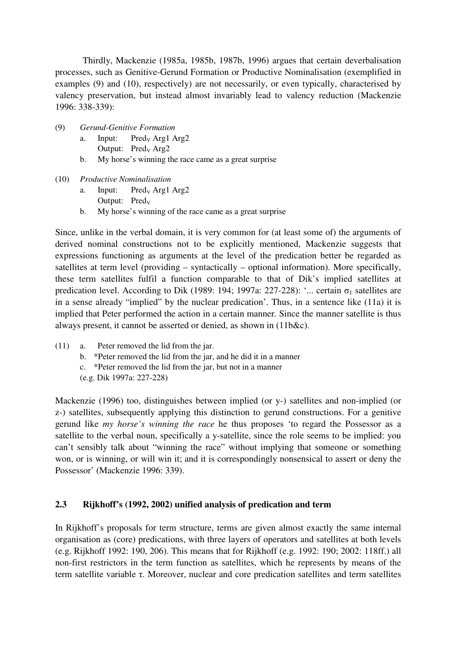Thirdly, Mackenzie (1985a, 1985b, 1987b, 1996) argues that certain deverbalisation processes, such as Genitive-Gerund Formation or Productive Nominalisation (exemplified in examples (9) and (10), respectively) are not necessarily, or even typically, characterised by valency preservation, but instead almost invariably lead to valency reduction (Mackenzie 1996: 338-339):

- (9) *Gerund-Genitive Formation*
	- a. Input: Pred<sub>v</sub> Arg1 Arg2 Output:  $Pred<sub>V</sub> Arg2$
	- b. My horse's winning the race came as a great surprise
- (10) *Productive Nominalisation*
	- a. Input: Pred<sub>v</sub> Arg1 Arg2
		- Output:  $Pred_V$
	- b. My horse's winning of the race came as a great surprise

Since, unlike in the verbal domain, it is very common for (at least some of) the arguments of derived nominal constructions not to be explicitly mentioned, Mackenzie suggests that expressions functioning as arguments at the level of the predication better be regarded as satellites at term level (providing – syntactically – optional information). More specifically, these term satellites fulfil a function comparable to that of Dik's implied satellites at predication level. According to Dik (1989: 194; 1997a: 227-228): '... certain  $\sigma_1$  satellites are in a sense already "implied" by the nuclear predication'. Thus, in a sentence like (11a) it is implied that Peter performed the action in a certain manner. Since the manner satellite is thus always present, it cannot be asserted or denied, as shown in (11b&c).

- (11) a. Peter removed the lid from the jar.
	- b. \*Peter removed the lid from the jar, and he did it in a manner
	- c. \*Peter removed the lid from the jar, but not in a manner
	- (e.g. Dik 1997a: 227-228)

Mackenzie (1996) too, distinguishes between implied (or y-) satellites and non-implied (or z-) satellites, subsequently applying this distinction to gerund constructions. For a genitive gerund like *my horse's winning the race* he thus proposes 'to regard the Possessor as a satellite to the verbal noun, specifically a y-satellite, since the role seems to be implied: you can't sensibly talk about "winning the race" without implying that someone or something won, or is winning, or will win it; and it is correspondingly nonsensical to assert or deny the Possessor' (Mackenzie 1996: 339).

# **2.3 Rijkhoff's (1992, 2002) unified analysis of predication and term**

In Rijkhoff's proposals for term structure, terms are given almost exactly the same internal organisation as (core) predications, with three layers of operators and satellites at both levels (e.g. Rijkhoff 1992: 190, 206). This means that for Rijkhoff (e.g. 1992: 190; 2002: 118ff.) all non-first restrictors in the term function as satellites, which he represents by means of the term satellite variable  $\tau$ . Moreover, nuclear and core predication satellites and term satellites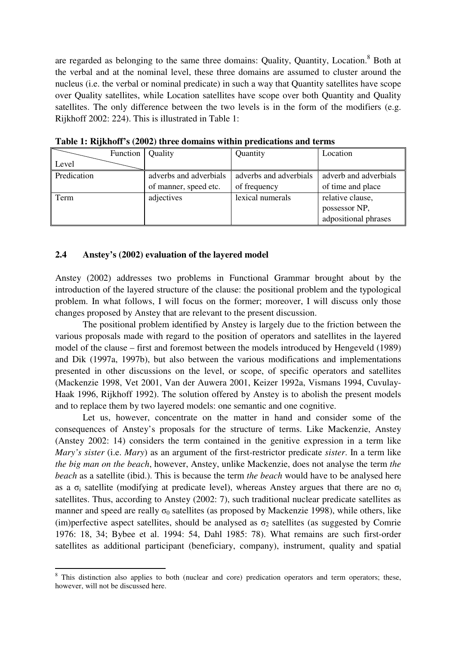are regarded as belonging to the same three domains: Quality, Quantity, Location.<sup>8</sup> Both at the verbal and at the nominal level, these three domains are assumed to cluster around the nucleus (i.e. the verbal or nominal predicate) in such a way that Quantity satellites have scope over Quality satellites, while Location satellites have scope over both Quantity and Quality satellites. The only difference between the two levels is in the form of the modifiers (e.g. Rijkhoff 2002: 224). This is illustrated in Table 1:

|             | Function   Quality |                        | Quantity               | Location              |
|-------------|--------------------|------------------------|------------------------|-----------------------|
| Level       |                    |                        |                        |                       |
| Predication |                    | adverbs and adverbials | adverbs and adverbials | adverb and adverbials |
|             |                    | of manner, speed etc.  | of frequency           | of time and place     |
| Term        |                    | adjectives             | lexical numerals       | relative clause,      |
|             |                    |                        |                        | possessor NP,         |
|             |                    |                        |                        | adpositional phrases  |

**Table 1: Rijkhoff's (2002) three domains within predications and terms**

### **2.4 Anstey's (2002) evaluation of the layered model**

Anstey (2002) addresses two problems in Functional Grammar brought about by the introduction of the layered structure of the clause: the positional problem and the typological problem. In what follows, I will focus on the former; moreover, I will discuss only those changes proposed by Anstey that are relevant to the present discussion.

The positional problem identified by Anstey is largely due to the friction between the various proposals made with regard to the position of operators and satellites in the layered model of the clause – first and foremost between the models introduced by Hengeveld (1989) and Dik (1997a, 1997b), but also between the various modifications and implementations presented in other discussions on the level, or scope, of specific operators and satellites (Mackenzie 1998, Vet 2001, Van der Auwera 2001, Keizer 1992a, Vismans 1994, Cuvulay-Haak 1996, Rijkhoff 1992). The solution offered by Anstey is to abolish the present models and to replace them by two layered models: one semantic and one cognitive.

Let us, however, concentrate on the matter in hand and consider some of the consequences of Anstey's proposals for the structure of terms. Like Mackenzie, Anstey (Anstey 2002: 14) considers the term contained in the genitive expression in a term like *Mary's sister* (i.e. *Mary*) as an argument of the first-restrictor predicate *sister*. In a term like *the big man on the beach*, however, Anstey, unlike Mackenzie, does not analyse the term *the beach* as a satellite (ibid.). This is because the term *the beach* would have to be analysed here as a  $\sigma_i$  satellite (modifying at predicate level), whereas Anstey argues that there are no  $\sigma_i$ satellites. Thus, according to Anstey (2002: 7), such traditional nuclear predicate satellites as manner and speed are really  $\sigma_0$  satellites (as proposed by Mackenzie 1998), while others, like (im)perfective aspect satellites, should be analysed as  $\sigma_2$  satellites (as suggested by Comrie 1976: 18, 34; Bybee et al. 1994: 54, Dahl 1985: 78). What remains are such first-order satellites as additional participant (beneficiary, company), instrument, quality and spatial

<sup>&</sup>lt;sup>8</sup> This distinction also applies to both (nuclear and core) predication operators and term operators; these, however, will not be discussed here.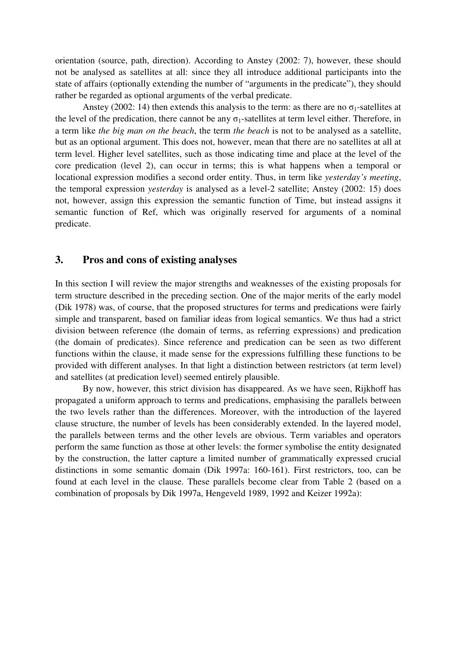orientation (source, path, direction). According to Anstey (2002: 7), however, these should not be analysed as satellites at all: since they all introduce additional participants into the state of affairs (optionally extending the number of "arguments in the predicate"), they should rather be regarded as optional arguments of the verbal predicate.

Anstey (2002: 14) then extends this analysis to the term: as there are no  $\sigma_1$ -satellites at the level of the predication, there cannot be any  $\sigma_1$ -satellites at term level either. Therefore, in a term like *the big man on the beach*, the term *the beach* is not to be analysed as a satellite, but as an optional argument. This does not, however, mean that there are no satellites at all at term level. Higher level satellites, such as those indicating time and place at the level of the core predication (level 2), can occur in terms; this is what happens when a temporal or locational expression modifies a second order entity. Thus, in term like *yesterday's meeting*, the temporal expression *yesterday* is analysed as a level-2 satellite; Anstey (2002: 15) does not, however, assign this expression the semantic function of Time, but instead assigns it semantic function of Ref, which was originally reserved for arguments of a nominal predicate.

# **3. Pros and cons of existing analyses**

In this section I will review the major strengths and weaknesses of the existing proposals for term structure described in the preceding section. One of the major merits of the early model (Dik 1978) was, of course, that the proposed structures for terms and predications were fairly simple and transparent, based on familiar ideas from logical semantics. We thus had a strict division between reference (the domain of terms, as referring expressions) and predication (the domain of predicates). Since reference and predication can be seen as two different functions within the clause, it made sense for the expressions fulfilling these functions to be provided with different analyses. In that light a distinction between restrictors (at term level) and satellites (at predication level) seemed entirely plausible.

By now, however, this strict division has disappeared. As we have seen, Rijkhoff has propagated a uniform approach to terms and predications, emphasising the parallels between the two levels rather than the differences. Moreover, with the introduction of the layered clause structure, the number of levels has been considerably extended. In the layered model, the parallels between terms and the other levels are obvious. Term variables and operators perform the same function as those at other levels: the former symbolise the entity designated by the construction, the latter capture a limited number of grammatically expressed crucial distinctions in some semantic domain (Dik 1997a: 160-161). First restrictors, too, can be found at each level in the clause. These parallels become clear from Table 2 (based on a combination of proposals by Dik 1997a, Hengeveld 1989, 1992 and Keizer 1992a):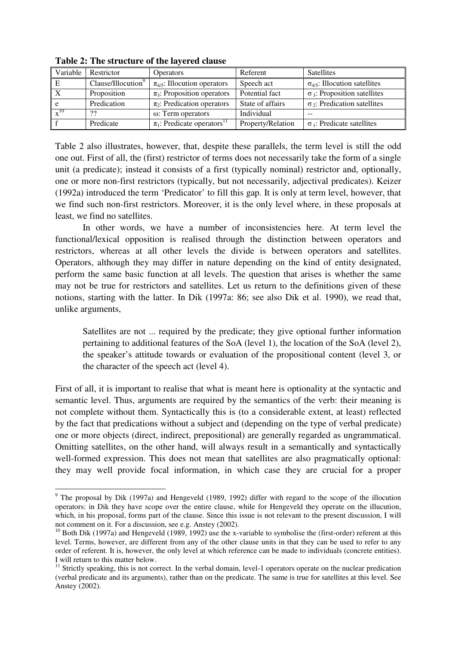| Variable | Restrictor                     | <b>Operators</b>                            | Referent          | <b>Satellites</b>                      |
|----------|--------------------------------|---------------------------------------------|-------------------|----------------------------------------|
|          | Clause/Illocution <sup>9</sup> | $\pi_{4/5}$ : Illocution operators          | Speech act        | $\sigma_{4/5}$ : Illocution satellites |
|          | Proposition                    | $\pi_3$ : Proposition operators             | Potential fact    | $\sigma_3$ : Proposition satellites    |
| e        | Predication                    | $\pi_2$ : Predication operators             | State of affairs  | $\sigma_2$ : Predication satellites    |
| $-10$    | າາ                             | ω: Term operators                           | Individual        | $- -$                                  |
|          | Predicate                      | $\pi_1$ : Predicate operators <sup>11</sup> | Property/Relation | $\sigma_1$ : Predicate satellites      |

**Table 2: The structure of the layered clause**

Table 2 also illustrates, however, that, despite these parallels, the term level is still the odd one out. First of all, the (first) restrictor of terms does not necessarily take the form of a single unit (a predicate); instead it consists of a first (typically nominal) restrictor and, optionally, one or more non-first restrictors (typically, but not necessarily, adjectival predicates). Keizer (1992a) introduced the term 'Predicator' to fill this gap. It is only at term level, however, that we find such non-first restrictors. Moreover, it is the only level where, in these proposals at least, we find no satellites.

In other words, we have a number of inconsistencies here. At term level the functional/lexical opposition is realised through the distinction between operators and restrictors, whereas at all other levels the divide is between operators and satellites. Operators, although they may differ in nature depending on the kind of entity designated, perform the same basic function at all levels. The question that arises is whether the same may not be true for restrictors and satellites. Let us return to the definitions given of these notions, starting with the latter. In Dik (1997a: 86; see also Dik et al. 1990), we read that, unlike arguments,

Satellites are not ... required by the predicate; they give optional further information pertaining to additional features of the SoA (level 1), the location of the SoA (level 2), the speaker's attitude towards or evaluation of the propositional content (level 3, or the character of the speech act (level 4).

First of all, it is important to realise that what is meant here is optionality at the syntactic and semantic level. Thus, arguments are required by the semantics of the verb: their meaning is not complete without them. Syntactically this is (to a considerable extent, at least) reflected by the fact that predications without a subject and (depending on the type of verbal predicate) one or more objects (direct, indirect, prepositional) are generally regarded as ungrammatical. Omitting satellites, on the other hand, will always result in a semantically and syntactically well-formed expression. This does not mean that satellites are also pragmatically optional: they may well provide focal information, in which case they are crucial for a proper

<sup>9</sup> The proposal by Dik (1997a) and Hengeveld (1989, 1992) differ with regard to the scope of the illocution operators: in Dik they have scope over the entire clause, while for Hengeveld they operate on the illucution, which, in his proposal, forms part of the clause. Since this issue is not relevant to the present discussion, I will not comment on it. For a discussion, see e.g. Anstey (2002).

<sup>&</sup>lt;sup>10</sup> Both Dik (1997a) and Hengeveld (1989, 1992) use the x-variable to symbolise the (first-order) referent at this level. Terms, however, are different from any of the other clause units in that they can be used to refer to any order of referent. It is, however, the only level at which reference can be made to individuals (concrete entities). I will return to this matter below.

<sup>&</sup>lt;sup>11</sup> Strictly speaking, this is not correct. In the verbal domain, level-1 operators operate on the nuclear predication (verbal predicate and its arguments), rather than on the predicate. The same is true for satellites at this level. See Anstey (2002).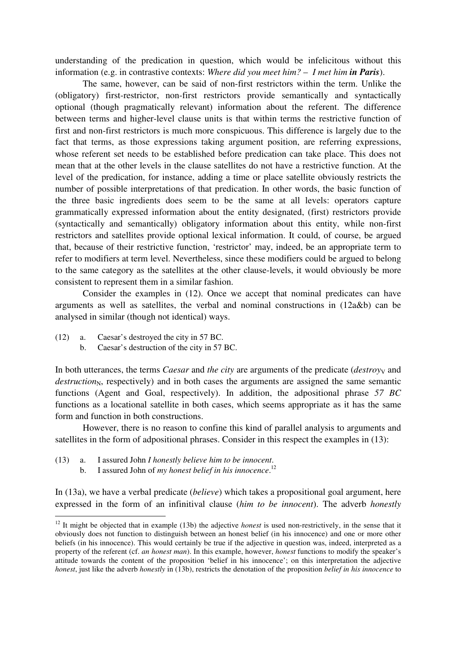understanding of the predication in question, which would be infelicitous without this information (e.g. in contrastive contexts: *Where did you meet him?* – *I met him in Paris*).

The same, however, can be said of non-first restrictors within the term. Unlike the (obligatory) first-restrictor, non-first restrictors provide semantically and syntactically optional (though pragmatically relevant) information about the referent. The difference between terms and higher-level clause units is that within terms the restrictive function of first and non-first restrictors is much more conspicuous. This difference is largely due to the fact that terms, as those expressions taking argument position, are referring expressions, whose referent set needs to be established before predication can take place. This does not mean that at the other levels in the clause satellites do not have a restrictive function. At the level of the predication, for instance, adding a time or place satellite obviously restricts the number of possible interpretations of that predication. In other words, the basic function of the three basic ingredients does seem to be the same at all levels: operators capture grammatically expressed information about the entity designated, (first) restrictors provide (syntactically and semantically) obligatory information about this entity, while non-first restrictors and satellites provide optional lexical information. It could, of course, be argued that, because of their restrictive function, 'restrictor' may, indeed, be an appropriate term to refer to modifiers at term level. Nevertheless, since these modifiers could be argued to belong to the same category as the satellites at the other clause-levels, it would obviously be more consistent to represent them in a similar fashion.

Consider the examples in (12). Once we accept that nominal predicates can have arguments as well as satellites, the verbal and nominal constructions in (12a&b) can be analysed in similar (though not identical) ways.

- (12) a. Caesar's destroyed the city in 57 BC.
	- b. Caesar's destruction of the city in 57 BC.

In both utterances, the terms *Caesar* and *the city* are arguments of the predicate (*destroyy* and *destruction*<sub>N</sub>, respectively) and in both cases the arguments are assigned the same semantic functions (Agent and Goal, respectively). In addition, the adpositional phrase *57 BC* functions as a locational satellite in both cases, which seems appropriate as it has the same form and function in both constructions.

However, there is no reason to confine this kind of parallel analysis to arguments and satellites in the form of adpositional phrases. Consider in this respect the examples in (13):

- (13) a. I assured John *I honestly believe him to be innocent*.
	- b. I assured John of *my honest belief in his innocence*. 12

In (13a), we have a verbal predicate (*believe*) which takes a propositional goal argument, here expressed in the form of an infinitival clause (*him to be innocent*). The adverb *honestly*

<sup>&</sup>lt;sup>12</sup> It might be objected that in example (13b) the adjective *honest* is used non-restrictively, in the sense that it obviously does not function to distinguish between an honest belief (in his innocence) and one or more other beliefs (in his innocence). This would certainly be true if the adjective in question was, indeed, interpreted as a property of the referent (cf. *an honest man*). In this example, however, *honest* functions to modify the speaker's attitude towards the content of the proposition 'belief in his innocence'; on this interpretation the adjective *honest*, just like the adverb *honestly* in (13b), restricts the denotation of the proposition *belief in his innocence* to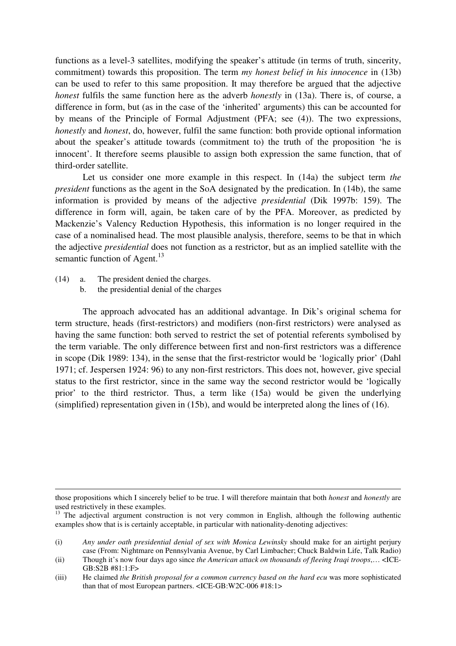functions as a level-3 satellites, modifying the speaker's attitude (in terms of truth, sincerity, commitment) towards this proposition. The term *my honest belief in his innocence* in (13b) can be used to refer to this same proposition. It may therefore be argued that the adjective *honest* fulfils the same function here as the adverb *honestly* in (13a). There is, of course, a difference in form, but (as in the case of the 'inherited' arguments) this can be accounted for by means of the Principle of Formal Adjustment (PFA; see (4)). The two expressions, *honestly* and *honest*, do, however, fulfil the same function: both provide optional information about the speaker's attitude towards (commitment to) the truth of the proposition 'he is innocent'. It therefore seems plausible to assign both expression the same function, that of third-order satellite.

Let us consider one more example in this respect. In (14a) the subject term *the president* functions as the agent in the SoA designated by the predication. In (14b), the same information is provided by means of the adjective *presidential* (Dik 1997b: 159). The difference in form will, again, be taken care of by the PFA. Moreover, as predicted by Mackenzie's Valency Reduction Hypothesis, this information is no longer required in the case of a nominalised head. The most plausible analysis, therefore, seems to be that in which the adjective *presidential* does not function as a restrictor, but as an implied satellite with the semantic function of Agent.<sup>13</sup>

- (14) a. The president denied the charges.
	- b. the presidential denial of the charges

The approach advocated has an additional advantage. In Dik's original schema for term structure, heads (first-restrictors) and modifiers (non-first restrictors) were analysed as having the same function: both served to restrict the set of potential referents symbolised by the term variable. The only difference between first and non-first restrictors was a difference in scope (Dik 1989: 134), in the sense that the first-restrictor would be 'logically prior' (Dahl 1971; cf. Jespersen 1924: 96) to any non-first restrictors. This does not, however, give special status to the first restrictor, since in the same way the second restrictor would be 'logically prior' to the third restrictor. Thus, a term like (15a) would be given the underlying (simplified) representation given in (15b), and would be interpreted along the lines of (16).

those propositions which I sincerely belief to be true. I will therefore maintain that both *honest* and *honestly* are used restrictively in these examples.

<sup>&</sup>lt;sup>13</sup> The adjectival argument construction is not very common in English, although the following authentic examples show that is is certainly acceptable, in particular with nationality-denoting adjectives:

<sup>(</sup>i) *Any under oath presidential denial of sex with Monica Lewinsky* should make for an airtight perjury case (From: Nightmare on Pennsylvania Avenue, by Carl Limbacher; Chuck Baldwin Life, Talk Radio)

<sup>(</sup>ii) Though it's now four days ago since *the American attack on thousands of fleeing Iraqi troops*,… <ICE-GB:S2B #81:1:F>

<sup>(</sup>iii) He claimed *the British proposal for a common currency based on the hard ecu* was more sophisticated than that of most European partners. <ICE-GB:W2C-006 #18:1>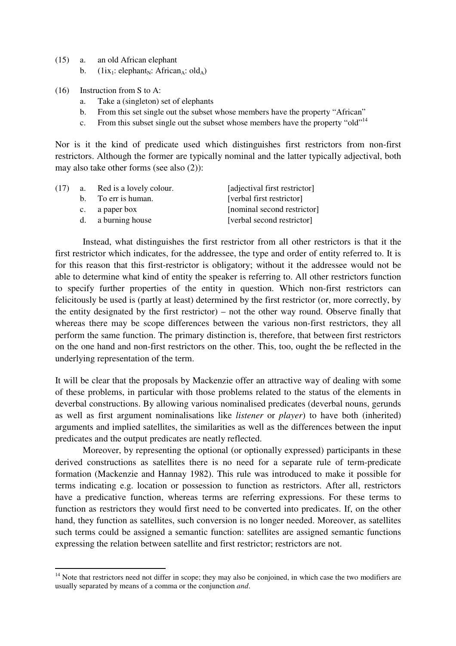- (15) a. an old African elephant
	- b. (1ix<sub>1</sub>: elephant<sub>N</sub>: African<sub>A</sub>: old<sub>A</sub>)
- (16) Instruction from S to A:
	- a. Take a (singleton) set of elephants
	- b. From this set single out the subset whose members have the property "African"
	- c. From this subset single out the subset whose members have the property "old"<sup>14</sup>

Nor is it the kind of predicate used which distinguishes first restrictors from non-first restrictors. Although the former are typically nominal and the latter typically adjectival, both may also take other forms (see also (2)):

| (17) | <b>a.</b> | Red is a lovely colour. | [adjectival first restrictor] |
|------|-----------|-------------------------|-------------------------------|
|      |           | b. To err is human.     | [verbal first restrictor]     |
|      |           | c. a paper box          | [nominal second restrictor]   |
|      |           | d. a burning house      | [verbal second restrictor]    |

Instead, what distinguishes the first restrictor from all other restrictors is that it the first restrictor which indicates, for the addressee, the type and order of entity referred to. It is for this reason that this first-restrictor is obligatory; without it the addressee would not be able to determine what kind of entity the speaker is referring to. All other restrictors function to specify further properties of the entity in question. Which non-first restrictors can felicitously be used is (partly at least) determined by the first restrictor (or, more correctly, by the entity designated by the first restrictor) – not the other way round. Observe finally that whereas there may be scope differences between the various non-first restrictors, they all perform the same function. The primary distinction is, therefore, that between first restrictors on the one hand and non-first restrictors on the other. This, too, ought the be reflected in the underlying representation of the term.

It will be clear that the proposals by Mackenzie offer an attractive way of dealing with some of these problems, in particular with those problems related to the status of the elements in deverbal constructions. By allowing various nominalised predicates (deverbal nouns, gerunds as well as first argument nominalisations like *listener* or *player*) to have both (inherited) arguments and implied satellites, the similarities as well as the differences between the input predicates and the output predicates are neatly reflected.

Moreover, by representing the optional (or optionally expressed) participants in these derived constructions as satellites there is no need for a separate rule of term-predicate formation (Mackenzie and Hannay 1982). This rule was introduced to make it possible for terms indicating e.g. location or possession to function as restrictors. After all, restrictors have a predicative function, whereas terms are referring expressions. For these terms to function as restrictors they would first need to be converted into predicates. If, on the other hand, they function as satellites, such conversion is no longer needed. Moreover, as satellites such terms could be assigned a semantic function: satellites are assigned semantic functions expressing the relation between satellite and first restrictor; restrictors are not.

<sup>&</sup>lt;sup>14</sup> Note that restrictors need not differ in scope; they may also be conjoined, in which case the two modifiers are usually separated by means of a comma or the conjunction *and*.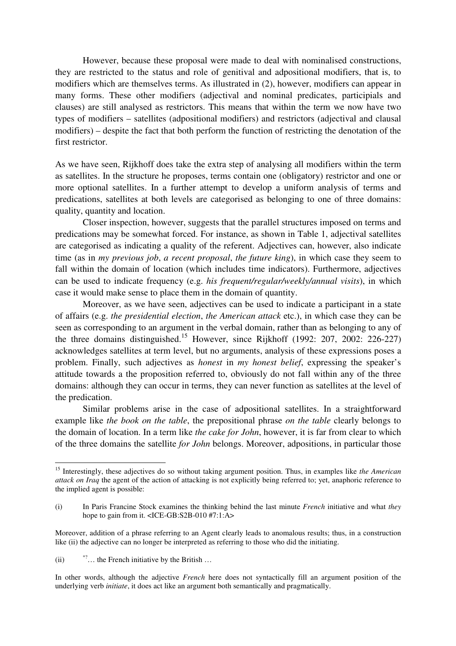However, because these proposal were made to deal with nominalised constructions, they are restricted to the status and role of genitival and adpositional modifiers, that is, to modifiers which are themselves terms. As illustrated in (2), however, modifiers can appear in many forms. These other modifiers (adjectival and nominal predicates, participials and clauses) are still analysed as restrictors. This means that within the term we now have two types of modifiers – satellites (adpositional modifiers) and restrictors (adjectival and clausal modifiers) – despite the fact that both perform the function of restricting the denotation of the first restrictor.

As we have seen, Rijkhoff does take the extra step of analysing all modifiers within the term as satellites. In the structure he proposes, terms contain one (obligatory) restrictor and one or more optional satellites. In a further attempt to develop a uniform analysis of terms and predications, satellites at both levels are categorised as belonging to one of three domains: quality, quantity and location.

Closer inspection, however, suggests that the parallel structures imposed on terms and predications may be somewhat forced. For instance, as shown in Table 1, adjectival satellites are categorised as indicating a quality of the referent. Adjectives can, however, also indicate time (as in *my previous job*, *a recent proposal*, *the future king*), in which case they seem to fall within the domain of location (which includes time indicators). Furthermore, adjectives can be used to indicate frequency (e.g. *his frequent/regular/weekly/annual visits*), in which case it would make sense to place them in the domain of quantity.

Moreover, as we have seen, adjectives can be used to indicate a participant in a state of affairs (e.g. *the presidential election*, *the American attack* etc.), in which case they can be seen as corresponding to an argument in the verbal domain, rather than as belonging to any of the three domains distinguished.<sup>15</sup> However, since Rijkhoff (1992: 207, 2002: 226-227) acknowledges satellites at term level, but no arguments, analysis of these expressions poses a problem. Finally, such adjectives as *honest* in *my honest belief*, expressing the speaker's attitude towards a the proposition referred to, obviously do not fall within any of the three domains: although they can occur in terms, they can never function as satellites at the level of the predication.

Similar problems arise in the case of adpositional satellites. In a straightforward example like *the book on the table*, the prepositional phrase *on the table* clearly belongs to the domain of location. In a term like *the cake for John*, however, it is far from clear to which of the three domains the satellite *for John* belongs. Moreover, adpositions, in particular those

<sup>15</sup> Interestingly, these adjectives do so without taking argument position. Thus, in examples like *the American attack on Iraq* the agent of the action of attacking is not explicitly being referred to; yet, anaphoric reference to the implied agent is possible:

<sup>(</sup>i) In Paris Francine Stock examines the thinking behind the last minute *French* initiative and what *they* hope to gain from it. <ICE-GB:S2B-010 #7:1:A>

Moreover, addition of a phrase referring to an Agent clearly leads to anomalous results; thus, in a construction like (ii) the adjective can no longer be interpreted as referring to those who did the initiating.

<sup>(</sup>ii)  $*$ ?... the French initiative by the British  $\ldots$ 

In other words, although the adjective *French* here does not syntactically fill an argument position of the underlying verb *initiate*, it does act like an argument both semantically and pragmatically.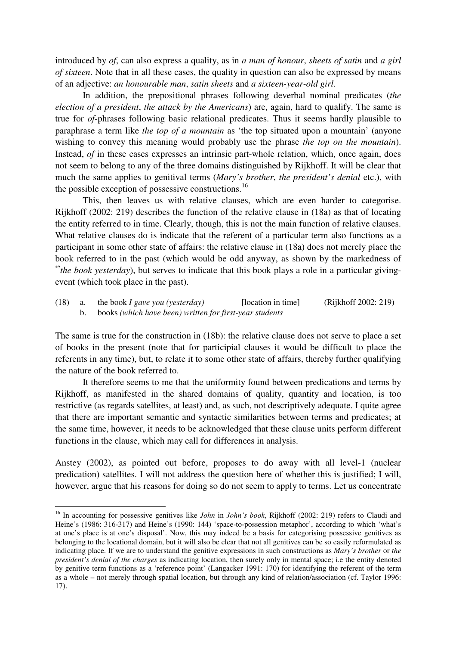introduced by *of*, can also express a quality, as in *a man of honour*, *sheets of satin* and *a girl of sixteen*. Note that in all these cases, the quality in question can also be expressed by means of an adjective: *an honourable man*, *satin sheets* and *a sixteen-year-old girl*.

In addition, the prepositional phrases following deverbal nominal predicates (*the election of a president*, *the attack by the Americans*) are, again, hard to qualify. The same is true for *of*-phrases following basic relational predicates. Thus it seems hardly plausible to paraphrase a term like *the top of a mountain* as 'the top situated upon a mountain' (anyone wishing to convey this meaning would probably use the phrase *the top on the mountain*). Instead, *of* in these cases expresses an intrinsic part-whole relation, which, once again, does not seem to belong to any of the three domains distinguished by Rijkhoff. It will be clear that much the same applies to genitival terms (*Mary's brother*, *the president's denial* etc.), with the possible exception of possessive constructions.<sup>16</sup>

This, then leaves us with relative clauses, which are even harder to categorise. Rijkhoff (2002: 219) describes the function of the relative clause in (18a) as that of locating the entity referred to in time. Clearly, though, this is not the main function of relative clauses. What relative clauses do is indicate that the referent of a particular term also functions as a participant in some other state of affairs: the relative clause in (18a) does not merely place the book referred to in the past (which would be odd anyway, as shown by the markedness of \*? *the book yesterday*), but serves to indicate that this book plays a role in a particular givingevent (which took place in the past).

(18) a. the book *I gave you (yesterday)* [location in time] (Rijkhoff 2002: 219) b. books *(which have been) written for first-year students*

The same is true for the construction in (18b): the relative clause does not serve to place a set of books in the present (note that for participial clauses it would be difficult to place the referents in any time), but, to relate it to some other state of affairs, thereby further qualifying the nature of the book referred to.

It therefore seems to me that the uniformity found between predications and terms by Rijkhoff, as manifested in the shared domains of quality, quantity and location, is too restrictive (as regards satellites, at least) and, as such, not descriptively adequate. I quite agree that there are important semantic and syntactic similarities between terms and predicates; at the same time, however, it needs to be acknowledged that these clause units perform different functions in the clause, which may call for differences in analysis.

Anstey (2002), as pointed out before, proposes to do away with all level-1 (nuclear predication) satellites. I will not address the question here of whether this is justified; I will, however, argue that his reasons for doing so do not seem to apply to terms. Let us concentrate

<sup>16</sup> In accounting for possessive genitives like *John* in *John's book*, Rijkhoff (2002: 219) refers to Claudi and Heine's (1986: 316-317) and Heine's (1990: 144) 'space-to-possession metaphor', according to which 'what's at one's place is at one's disposal'. Now, this may indeed be a basis for categorising possessive genitives as belonging to the locational domain, but it will also be clear that not all genitives can be so easily reformulated as indicating place. If we are to understand the genitive expressions in such constructions as *Mary's brother* or *the president's denial of the charges* as indicating location, then surely only in mental space; i.e the entity denoted by genitive term functions as a 'reference point' (Langacker 1991: 170) for identifying the referent of the term as a whole – not merely through spatial location, but through any kind of relation/association (cf. Taylor 1996: 17).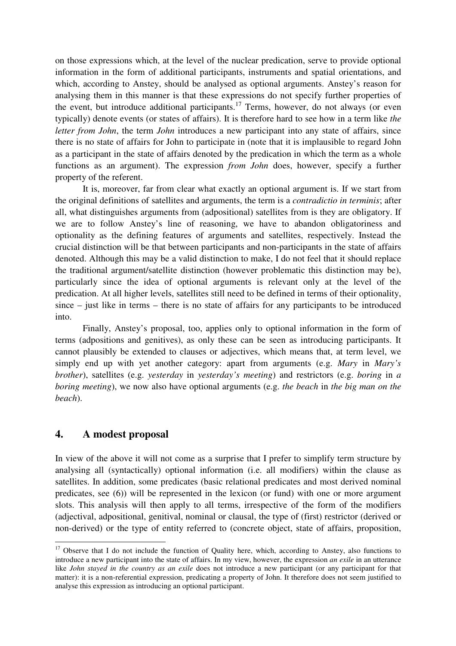on those expressions which, at the level of the nuclear predication, serve to provide optional information in the form of additional participants, instruments and spatial orientations, and which, according to Anstey, should be analysed as optional arguments. Anstey's reason for analysing them in this manner is that these expressions do not specify further properties of the event, but introduce additional participants.<sup>17</sup> Terms, however, do not always (or even typically) denote events (or states of affairs). It is therefore hard to see how in a term like *the letter from John*, the term *John* introduces a new participant into any state of affairs, since there is no state of affairs for John to participate in (note that it is implausible to regard John as a participant in the state of affairs denoted by the predication in which the term as a whole functions as an argument). The expression *from John* does, however, specify a further property of the referent.

It is, moreover, far from clear what exactly an optional argument is. If we start from the original definitions of satellites and arguments, the term is a *contradictio in terminis*; after all, what distinguishes arguments from (adpositional) satellites from is they are obligatory. If we are to follow Anstey's line of reasoning, we have to abandon obligatoriness and optionality as the defining features of arguments and satellites, respectively. Instead the crucial distinction will be that between participants and non-participants in the state of affairs denoted. Although this may be a valid distinction to make, I do not feel that it should replace the traditional argument/satellite distinction (however problematic this distinction may be), particularly since the idea of optional arguments is relevant only at the level of the predication. At all higher levels, satellites still need to be defined in terms of their optionality, since – just like in terms – there is no state of affairs for any participants to be introduced into.

Finally, Anstey's proposal, too, applies only to optional information in the form of terms (adpositions and genitives), as only these can be seen as introducing participants. It cannot plausibly be extended to clauses or adjectives, which means that, at term level, we simply end up with yet another category: apart from arguments (e.g. *Mary* in *Mary's brother*), satellites (e.g. *yesterday* in *yesterday's meeting*) and restrictors (e.g. *boring* in *a boring meeting*), we now also have optional arguments (e.g. *the beach* in *the big man on the beach*).

# **4. A modest proposal**

In view of the above it will not come as a surprise that I prefer to simplify term structure by analysing all (syntactically) optional information (i.e. all modifiers) within the clause as satellites. In addition, some predicates (basic relational predicates and most derived nominal predicates, see (6)) will be represented in the lexicon (or fund) with one or more argument slots. This analysis will then apply to all terms, irrespective of the form of the modifiers (adjectival, adpositional, genitival, nominal or clausal, the type of (first) restrictor (derived or non-derived) or the type of entity referred to (concrete object, state of affairs, proposition,

<sup>&</sup>lt;sup>17</sup> Observe that I do not include the function of Quality here, which, according to Anstey, also functions to introduce a new participant into the state of affairs. In my view, however, the expression *an exile* in an utterance like *John stayed in the country as an exile* does not introduce a new participant (or any participant for that matter): it is a non-referential expression, predicating a property of John. It therefore does not seem justified to analyse this expression as introducing an optional participant.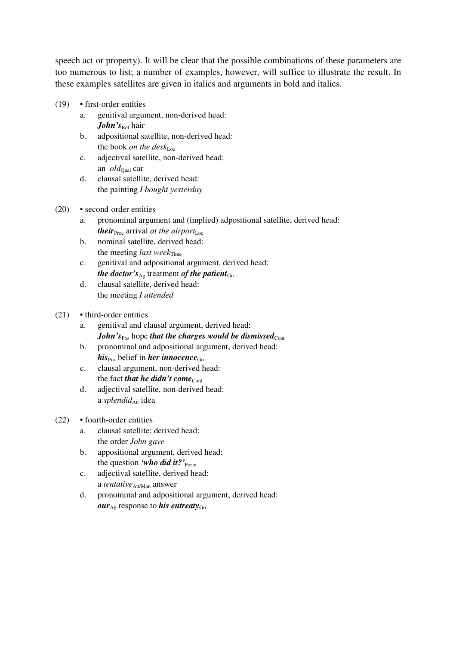speech act or property). It will be clear that the possible combinations of these parameters are too numerous to list; a number of examples, however, will suffice to illustrate the result. In these examples satellites are given in italics and arguments in bold and italics.

- (19) first-order entities
	- a. genitival argument, non-derived head: John's<sub>Ref</sub> hair
	- b. adpositional satellite, non-derived head: the book *on the desk*Loc
	- c. adjectival satellite, non-derived head: an *old*<sub>Qual</sub> car
	- d. clausal satellite, derived head: the painting *I bought yesterday*

#### (20) • second-order entities

- a. pronominal argument and (implied) adpositional satellite, derived head: *their*<sub>Proc</sub> arrival *at the airport*<sub>Loc</sub>
- b. nominal satellite, derived head: the meeting *last* week<sub>Time</sub>
- c. genitival and adpositional argument, derived head: *the doctor*<sup> $\gamma_{Ag}$ </sup> treatment *of the patient*<sub>Go</sub>
- d. clausal satellite, derived head: the meeting *I attended*

#### (21) • third-order entities

- a. genitival and clausal argument, derived head: *John's*<sub>Pos</sub> hope *that the charges would be dismissed*<sub>Cont</sub>
- b. pronominal and adpositional argument, derived head: *his*<sub>Pos</sub> belief in *her innocence*<sub>Go</sub>
- c. clausal argument, non-derived head: the fact *that he didn't come*<sub>Cont</sub>
- d. adjectival satellite, non-derived head: a *splendid*<sub>Att</sub> idea

### (22) • fourth-order entities

- a. clausal satellite; derived head: the order *John gave*
- b. appositional argument, derived head: the question *'who did it?'* Form
- c. adjectival satellite, derived head: a *tentative*<sub>Att/Man</sub> answer
- d. pronominal and adpositional argument, derived head: *our*<sub>Ag</sub> response to *his entreaty*<sub>Go</sub>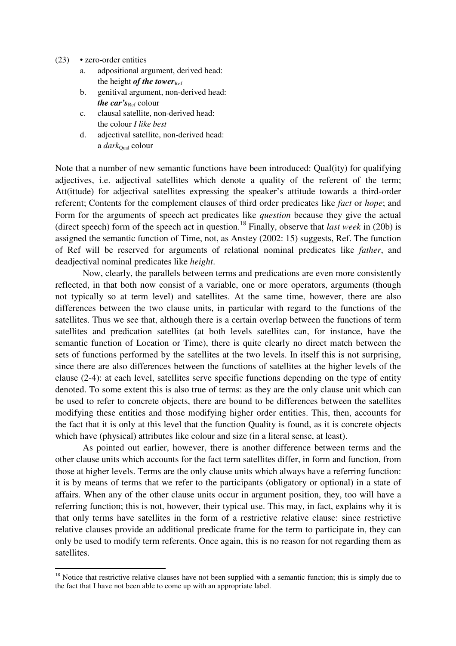- (23) zero-order entities
	- a. adpositional argument, derived head: the height *of the tower*<sub>Ref</sub>
	- b. genitival argument, non-derived head: *the car's*<sub>Ref</sub> colour
	- c. clausal satellite, non-derived head: the colour *I like best*
	- d. adjectival satellite, non-derived head: a *dark*<sub>Qual</sub> colour

Note that a number of new semantic functions have been introduced: Qual(ity) for qualifying adjectives, i.e. adjectival satellites which denote a quality of the referent of the term; Att(ittude) for adjectival satellites expressing the speaker's attitude towards a third-order referent; Contents for the complement clauses of third order predicates like *fact* or *hope*; and Form for the arguments of speech act predicates like *question* because they give the actual (direct speech) form of the speech act in question. 18 Finally, observe that *last week* in (20b) is assigned the semantic function of Time, not, as Anstey (2002: 15) suggests, Ref. The function of Ref will be reserved for arguments of relational nominal predicates like *father*, and deadjectival nominal predicates like *height*.

Now, clearly, the parallels between terms and predications are even more consistently reflected, in that both now consist of a variable, one or more operators, arguments (though not typically so at term level) and satellites. At the same time, however, there are also differences between the two clause units, in particular with regard to the functions of the satellites. Thus we see that, although there is a certain overlap between the functions of term satellites and predication satellites (at both levels satellites can, for instance, have the semantic function of Location or Time), there is quite clearly no direct match between the sets of functions performed by the satellites at the two levels. In itself this is not surprising, since there are also differences between the functions of satellites at the higher levels of the clause (2-4): at each level, satellites serve specific functions depending on the type of entity denoted. To some extent this is also true of terms: as they are the only clause unit which can be used to refer to concrete objects, there are bound to be differences between the satellites modifying these entities and those modifying higher order entities. This, then, accounts for the fact that it is only at this level that the function Quality is found, as it is concrete objects which have (physical) attributes like colour and size (in a literal sense, at least).

As pointed out earlier, however, there is another difference between terms and the other clause units which accounts for the fact term satellites differ, in form and function, from those at higher levels. Terms are the only clause units which always have a referring function: it is by means of terms that we refer to the participants (obligatory or optional) in a state of affairs. When any of the other clause units occur in argument position, they, too will have a referring function; this is not, however, their typical use. This may, in fact, explains why it is that only terms have satellites in the form of a restrictive relative clause: since restrictive relative clauses provide an additional predicate frame for the term to participate in, they can only be used to modify term referents. Once again, this is no reason for not regarding them as satellites.

 $18$  Notice that restrictive relative clauses have not been supplied with a semantic function; this is simply due to the fact that I have not been able to come up with an appropriate label.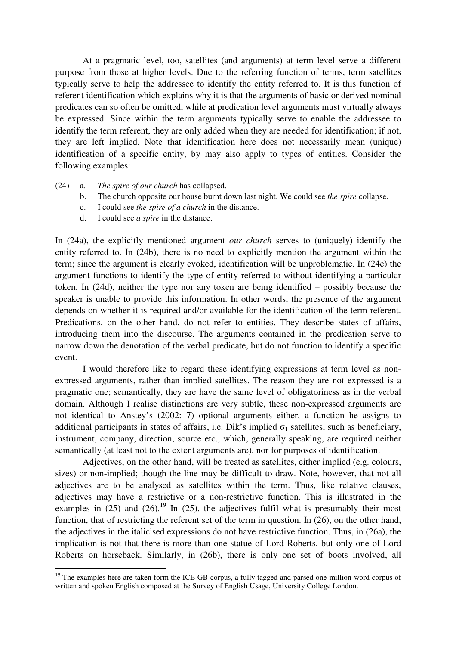At a pragmatic level, too, satellites (and arguments) at term level serve a different purpose from those at higher levels. Due to the referring function of terms, term satellites typically serve to help the addressee to identify the entity referred to. It is this function of referent identification which explains why it is that the arguments of basic or derived nominal predicates can so often be omitted, while at predication level arguments must virtually always be expressed. Since within the term arguments typically serve to enable the addressee to identify the term referent, they are only added when they are needed for identification; if not, they are left implied. Note that identification here does not necessarily mean (unique) identification of a specific entity, by may also apply to types of entities. Consider the following examples:

- (24) a. *The spire of our church* has collapsed.
	- b. The church opposite our house burnt down last night. We could see *the spire* collapse.
	- c. I could see *the spire of a church* in the distance.
	- d. I could see *a spire* in the distance.

In (24a), the explicitly mentioned argument *our church* serves to (uniquely) identify the entity referred to. In (24b), there is no need to explicitly mention the argument within the term; since the argument is clearly evoked, identification will be unproblematic. In (24c) the argument functions to identify the type of entity referred to without identifying a particular token. In (24d), neither the type nor any token are being identified – possibly because the speaker is unable to provide this information. In other words, the presence of the argument depends on whether it is required and/or available for the identification of the term referent. Predications, on the other hand, do not refer to entities. They describe states of affairs, introducing them into the discourse. The arguments contained in the predication serve to narrow down the denotation of the verbal predicate, but do not function to identify a specific event.

I would therefore like to regard these identifying expressions at term level as nonexpressed arguments, rather than implied satellites. The reason they are not expressed is a pragmatic one; semantically, they are have the same level of obligatoriness as in the verbal domain. Although I realise distinctions are very subtle, these non-expressed arguments are not identical to Anstey's (2002: 7) optional arguments either, a function he assigns to additional participants in states of affairs, i.e. Dik's implied  $\sigma_1$  satellites, such as beneficiary, instrument, company, direction, source etc., which, generally speaking, are required neither semantically (at least not to the extent arguments are), nor for purposes of identification.

Adjectives, on the other hand, will be treated as satellites, either implied (e.g. colours, sizes) or non-implied; though the line may be difficult to draw. Note, however, that not all adjectives are to be analysed as satellites within the term. Thus, like relative clauses, adjectives may have a restrictive or a non-restrictive function. This is illustrated in the examples in  $(25)$  and  $(26)$ .<sup>19</sup> In  $(25)$ , the adjectives fulfil what is presumably their most function, that of restricting the referent set of the term in question. In (26), on the other hand, the adjectives in the italicised expressions do not have restrictive function. Thus, in (26a), the implication is not that there is more than one statue of Lord Roberts, but only one of Lord Roberts on horseback. Similarly, in (26b), there is only one set of boots involved, all

<sup>&</sup>lt;sup>19</sup> The examples here are taken form the ICE-GB corpus, a fully tagged and parsed one-million-word corpus of written and spoken English composed at the Survey of English Usage, University College London.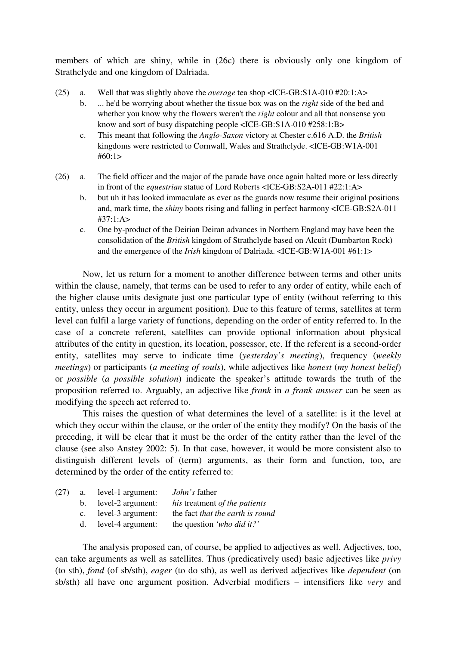members of which are shiny, while in (26c) there is obviously only one kingdom of Strathclyde and one kingdom of Dalriada.

- (25) a. Well that was slightly above the *average* tea shop <ICE-GB:S1A-010 #20:1:A>
	- b. ... he'd be worrying about whether the tissue box was on the *right* side of the bed and whether you know why the flowers weren't the *right* colour and all that nonsense you know and sort of busy dispatching people <ICE-GB:S1A-010 #258:1:B>
	- c. This meant that following the *Anglo-Saxon* victory at Chester c.616 A.D. the *British* kingdoms were restricted to Cornwall, Wales and Strathclyde. <ICE-GB:W1A-001  $#60:1>$
- (26) a. The field officer and the major of the parade have once again halted more or less directly in front of the *equestrian* statue of Lord Roberts <ICE-GB:S2A-011 #22:1:A>
	- b. but uh it has looked immaculate as ever as the guards now resume their original positions and, mark time, the *shiny* boots rising and falling in perfect harmony <ICE-GB:S2A-011 #37:1:A>
	- c. One by-product of the Deirian Deiran advances in Northern England may have been the consolidation of the *British* kingdom of Strathclyde based on Alcuit (Dumbarton Rock) and the emergence of the *Irish* kingdom of Dalriada. <ICE-GB:W1A-001 #61:1>

Now, let us return for a moment to another difference between terms and other units within the clause, namely, that terms can be used to refer to any order of entity, while each of the higher clause units designate just one particular type of entity (without referring to this entity, unless they occur in argument position). Due to this feature of terms, satellites at term level can fulfil a large variety of functions, depending on the order of entity referred to. In the case of a concrete referent, satellites can provide optional information about physical attributes of the entity in question, its location, possessor, etc. If the referent is a second-order entity, satellites may serve to indicate time (*yesterday's meeting*), frequency (*weekly meetings*) or participants (*a meeting of souls*), while adjectives like *honest* (*my honest belief*) or *possible* (*a possible solution*) indicate the speaker's attitude towards the truth of the proposition referred to. Arguably, an adjective like *frank* in *a frank answer* can be seen as modifying the speech act referred to.

This raises the question of what determines the level of a satellite: is it the level at which they occur within the clause, or the order of the entity they modify? On the basis of the preceding, it will be clear that it must be the order of the entity rather than the level of the clause (see also Anstey 2002: 5). In that case, however, it would be more consistent also to distinguish different levels of (term) arguments, as their form and function, too, are determined by the order of the entity referred to:

| (27) | а. | level-1 argument:    | <i>John's</i> father             |
|------|----|----------------------|----------------------------------|
|      |    | b. level-2 argument: | his treatment of the patients    |
|      |    | c. level-3 argument: | the fact that the earth is round |
|      |    | d. level-4 argument: | the question 'who did it?'       |
|      |    |                      |                                  |

The analysis proposed can, of course, be applied to adjectives as well. Adjectives, too, can take arguments as well as satellites. Thus (predicatively used) basic adjectives like *privy* (to sth), *fond* (of sb/sth), *eager* (to do sth), as well as derived adjectives like *dependent* (on sb/sth) all have one argument position. Adverbial modifiers – intensifiers like *very* and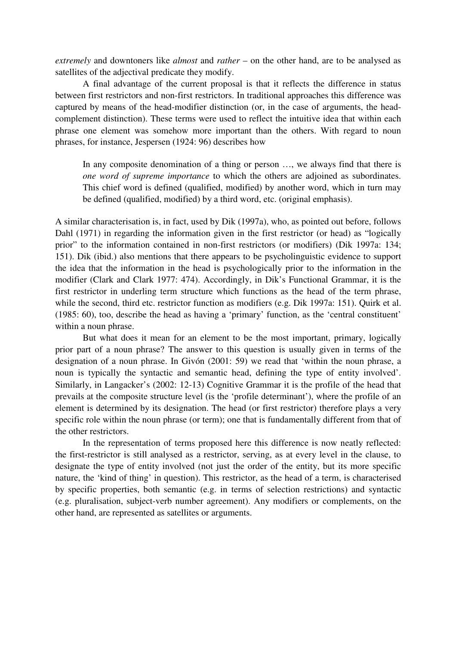*extremely* and downtoners like *almost* and *rather* – on the other hand, are to be analysed as satellites of the adjectival predicate they modify.

A final advantage of the current proposal is that it reflects the difference in status between first restrictors and non-first restrictors. In traditional approaches this difference was captured by means of the head-modifier distinction (or, in the case of arguments, the headcomplement distinction). These terms were used to reflect the intuitive idea that within each phrase one element was somehow more important than the others. With regard to noun phrases, for instance, Jespersen (1924: 96) describes how

In any composite denomination of a thing or person …, we always find that there is *one word of supreme importance* to which the others are adjoined as subordinates. This chief word is defined (qualified, modified) by another word, which in turn may be defined (qualified, modified) by a third word, etc. (original emphasis).

A similar characterisation is, in fact, used by Dik (1997a), who, as pointed out before, follows Dahl (1971) in regarding the information given in the first restrictor (or head) as "logically prior" to the information contained in non-first restrictors (or modifiers) (Dik 1997a: 134; 151). Dik (ibid.) also mentions that there appears to be psycholinguistic evidence to support the idea that the information in the head is psychologically prior to the information in the modifier (Clark and Clark 1977: 474). Accordingly, in Dik's Functional Grammar, it is the first restrictor in underling term structure which functions as the head of the term phrase, while the second, third etc. restrictor function as modifiers (e.g. Dik 1997a: 151). Quirk et al. (1985: 60), too, describe the head as having a 'primary' function, as the 'central constituent' within a noun phrase.

But what does it mean for an element to be the most important, primary, logically prior part of a noun phrase? The answer to this question is usually given in terms of the designation of a noun phrase. In Givón (2001: 59) we read that 'within the noun phrase, a noun is typically the syntactic and semantic head, defining the type of entity involved'. Similarly, in Langacker's (2002: 12-13) Cognitive Grammar it is the profile of the head that prevails at the composite structure level (is the 'profile determinant'), where the profile of an element is determined by its designation. The head (or first restrictor) therefore plays a very specific role within the noun phrase (or term); one that is fundamentally different from that of the other restrictors.

In the representation of terms proposed here this difference is now neatly reflected: the first-restrictor is still analysed as a restrictor, serving, as at every level in the clause, to designate the type of entity involved (not just the order of the entity, but its more specific nature, the 'kind of thing' in question). This restrictor, as the head of a term, is characterised by specific properties, both semantic (e.g. in terms of selection restrictions) and syntactic (e.g. pluralisation, subject-verb number agreement). Any modifiers or complements, on the other hand, are represented as satellites or arguments.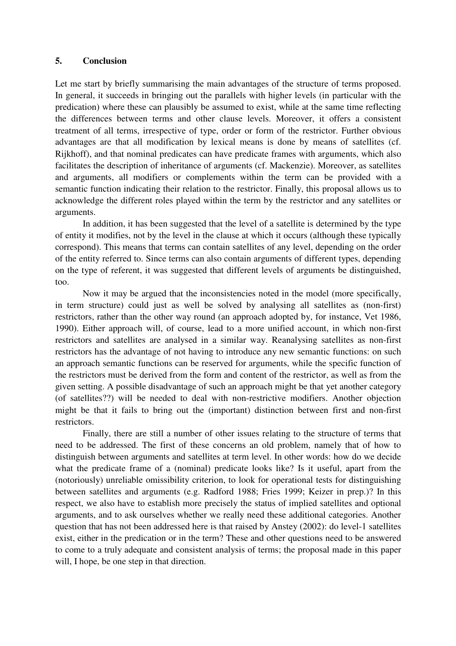### **5. Conclusion**

Let me start by briefly summarising the main advantages of the structure of terms proposed. In general, it succeeds in bringing out the parallels with higher levels (in particular with the predication) where these can plausibly be assumed to exist, while at the same time reflecting the differences between terms and other clause levels. Moreover, it offers a consistent treatment of all terms, irrespective of type, order or form of the restrictor. Further obvious advantages are that all modification by lexical means is done by means of satellites (cf. Rijkhoff), and that nominal predicates can have predicate frames with arguments, which also facilitates the description of inheritance of arguments (cf. Mackenzie). Moreover, as satellites and arguments, all modifiers or complements within the term can be provided with a semantic function indicating their relation to the restrictor. Finally, this proposal allows us to acknowledge the different roles played within the term by the restrictor and any satellites or arguments.

In addition, it has been suggested that the level of a satellite is determined by the type of entity it modifies, not by the level in the clause at which it occurs (although these typically correspond). This means that terms can contain satellites of any level, depending on the order of the entity referred to. Since terms can also contain arguments of different types, depending on the type of referent, it was suggested that different levels of arguments be distinguished, too.

Now it may be argued that the inconsistencies noted in the model (more specifically, in term structure) could just as well be solved by analysing all satellites as (non-first) restrictors, rather than the other way round (an approach adopted by, for instance, Vet 1986, 1990). Either approach will, of course, lead to a more unified account, in which non-first restrictors and satellites are analysed in a similar way. Reanalysing satellites as non-first restrictors has the advantage of not having to introduce any new semantic functions: on such an approach semantic functions can be reserved for arguments, while the specific function of the restrictors must be derived from the form and content of the restrictor, as well as from the given setting. A possible disadvantage of such an approach might be that yet another category (of satellites??) will be needed to deal with non-restrictive modifiers. Another objection might be that it fails to bring out the (important) distinction between first and non-first restrictors.

Finally, there are still a number of other issues relating to the structure of terms that need to be addressed. The first of these concerns an old problem, namely that of how to distinguish between arguments and satellites at term level. In other words: how do we decide what the predicate frame of a (nominal) predicate looks like? Is it useful, apart from the (notoriously) unreliable omissibility criterion, to look for operational tests for distinguishing between satellites and arguments (e.g. Radford 1988; Fries 1999; Keizer in prep.)? In this respect, we also have to establish more precisely the status of implied satellites and optional arguments, and to ask ourselves whether we really need these additional categories. Another question that has not been addressed here is that raised by Anstey (2002): do level-1 satellites exist, either in the predication or in the term? These and other questions need to be answered to come to a truly adequate and consistent analysis of terms; the proposal made in this paper will, I hope, be one step in that direction.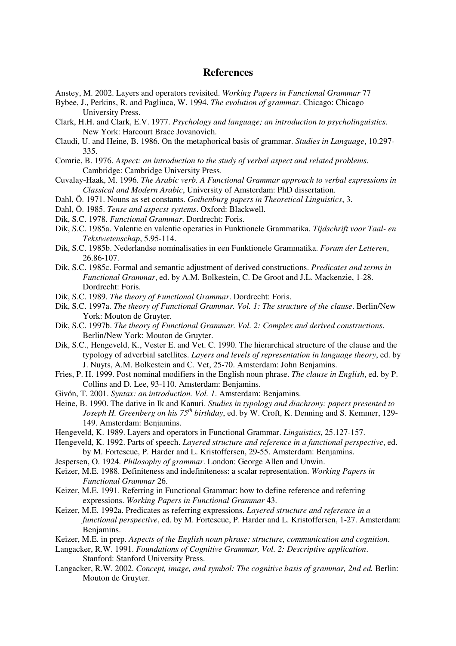## **References**

- Anstey, M. 2002. Layers and operators revisited. *Working Papers in Functional Grammar* 77
- Bybee, J., Perkins, R. and Pagliuca, W. 1994. *The evolution of grammar*. Chicago: Chicago University Press.
- Clark, H.H. and Clark, E.V. 1977. *Psychology and language; an introduction to psycholinguistics*. New York: Harcourt Brace Jovanovich.
- Claudi, U. and Heine, B. 1986. On the metaphorical basis of grammar. *Studies in Language*, 10.297- 335.
- Comrie, B. 1976. *Aspect: an introduction to the study of verbal aspect and related problems*. Cambridge: Cambridge University Press.
- Cuvalay-Haak, M. 1996. *The Arabic verb. A Functional Grammar approach to verbal expressions in Classical and Modern Arabic*, University of Amsterdam: PhD dissertation.
- Dahl, Ö. 1971. Nouns as set constants. *Gothenburg papers in Theoretical Linguistics*, 3.
- Dahl, Ö. 1985. *Tense and aspecst systems*. Oxford: Blackwell.
- Dik, S.C. 1978. *Functional Grammar*. Dordrecht: Foris.
- Dik, S.C. 1985a. Valentie en valentie operaties in Funktionele Grammatika. *Tijdschrift voor Taal- en Tekstwetenschap*, 5.95-114.
- Dik, S.C. 1985b. Nederlandse nominalisaties in een Funktionele Grammatika. *Forum der Letteren*, 26.86-107.
- Dik, S.C. 1985c. Formal and semantic adjustment of derived constructions. *Predicates and terms in Functional Grammar*, ed. by A.M. Bolkestein, C. De Groot and J.L. Mackenzie, 1-28. Dordrecht: Foris.
- Dik, S.C. 1989. *The theory of Functional Grammar*. Dordrecht: Foris.
- Dik, S.C. 1997a. *The theory of Functional Grammar. Vol. 1: The structure of the clause*. Berlin/New York: Mouton de Gruyter.
- Dik, S.C. 1997b. *The theory of Functional Grammar. Vol. 2: Complex and derived constructions*. Berlin/New York: Mouton de Gruyter.
- Dik, S.C., Hengeveld, K., Vester E. and Vet. C. 1990. The hierarchical structure of the clause and the typology of adverbial satellites. *Layers and levels of representation in language theory*, ed. by J. Nuyts, A.M. Bolkestein and C. Vet, 25-70. Amsterdam: John Benjamins.
- Fries, P. H. 1999. Post nominal modifiers in the English noun phrase. *The clause in English*, ed. by P. Collins and D. Lee, 93-110. Amsterdam: Benjamins.
- Givón, T. 2001. *Syntax: an introduction. Vol. 1*. Amsterdam: Benjamins.
- Heine, B. 1990. The dative in Ik and Kanuri. *Studies in typology and diachrony: papers presented to Joseph H. Greenberg on his 75 th birthday*, ed. by W. Croft, K. Denning and S. Kemmer, 129- 149. Amsterdam: Benjamins.
- Hengeveld, K. 1989. Layers and operators in Functional Grammar. *Linguistics*, 25.127-157.
- Hengeveld, K. 1992. Parts of speech. *Layered structure and reference in a functional perspective*, ed. by M. Fortescue, P. Harder and L. Kristoffersen, 29-55. Amsterdam: Benjamins.
- Jespersen, O. 1924. *Philosophy of grammar*. London: George Allen and Unwin.
- Keizer, M.E. 1988. Definiteness and indefiniteness: a scalar representation. *Working Papers in Functional Grammar* 26.
- Keizer, M.E. 1991. Referring in Functional Grammar: how to define reference and referring expressions. *Working Papers in Functional Grammar* 43.
- Keizer, M.E. 1992a. Predicates as referring expressions. *Layered structure and reference in a functional perspective*, ed. by M. Fortescue, P. Harder and L. Kristoffersen, 1-27. Amsterdam: Benjamins.
- Keizer, M.E. in prep. *Aspects of the English noun phrase: structure, communication and cognition*.
- Langacker, R.W. 1991. *Foundations of Cognitive Grammar, Vol. 2: Descriptive application*. Stanford: Stanford University Press.
- Langacker, R.W. 2002. *Concept, image, and symbol: The cognitive basis of grammar, 2nd ed.* Berlin: Mouton de Gruyter.